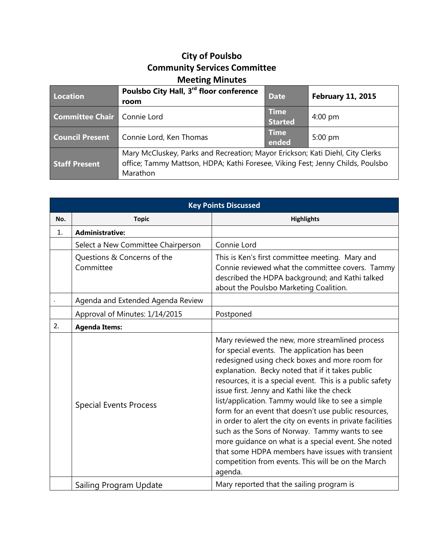## **City of Poulsbo Community Services Committee Meeting Minutes**

| <b>Location</b>                      | Poulsbo City Hall, 3rd floor conference<br>room                                                                                                                             | <b>Date</b>                   | <b>February 11, 2015</b> |
|--------------------------------------|-----------------------------------------------------------------------------------------------------------------------------------------------------------------------------|-------------------------------|--------------------------|
| <b>Committee Chair   Connie Lord</b> |                                                                                                                                                                             | <b>Time</b><br><b>Started</b> | $4:00 \text{ pm}$        |
| <b>Council Present</b>               | Connie Lord, Ken Thomas                                                                                                                                                     | <b>Time</b><br>ended          | $5:00$ pm                |
| <b>Staff Present</b>                 | Mary McCluskey, Parks and Recreation; Mayor Erickson; Kati Diehl, City Clerks<br>office; Tammy Mattson, HDPA; Kathi Foresee, Viking Fest; Jenny Childs, Poulsbo<br>Marathon |                               |                          |

|     | <b>Key Points Discussed</b>              |                                                                                                                                                                                                                                                                                                                                                                                                                                                                                                                                                                                                                                                                                                                              |  |  |  |
|-----|------------------------------------------|------------------------------------------------------------------------------------------------------------------------------------------------------------------------------------------------------------------------------------------------------------------------------------------------------------------------------------------------------------------------------------------------------------------------------------------------------------------------------------------------------------------------------------------------------------------------------------------------------------------------------------------------------------------------------------------------------------------------------|--|--|--|
| No. | <b>Topic</b>                             | <b>Highlights</b>                                                                                                                                                                                                                                                                                                                                                                                                                                                                                                                                                                                                                                                                                                            |  |  |  |
| 1.  | <b>Administrative:</b>                   |                                                                                                                                                                                                                                                                                                                                                                                                                                                                                                                                                                                                                                                                                                                              |  |  |  |
|     | Select a New Committee Chairperson       | Connie Lord                                                                                                                                                                                                                                                                                                                                                                                                                                                                                                                                                                                                                                                                                                                  |  |  |  |
|     | Questions & Concerns of the<br>Committee | This is Ken's first committee meeting. Mary and<br>Connie reviewed what the committee covers. Tammy<br>described the HDPA background; and Kathi talked<br>about the Poulsbo Marketing Coalition.                                                                                                                                                                                                                                                                                                                                                                                                                                                                                                                             |  |  |  |
|     | Agenda and Extended Agenda Review        |                                                                                                                                                                                                                                                                                                                                                                                                                                                                                                                                                                                                                                                                                                                              |  |  |  |
|     | Approval of Minutes: 1/14/2015           | Postponed                                                                                                                                                                                                                                                                                                                                                                                                                                                                                                                                                                                                                                                                                                                    |  |  |  |
| 2.  | <b>Agenda Items:</b>                     |                                                                                                                                                                                                                                                                                                                                                                                                                                                                                                                                                                                                                                                                                                                              |  |  |  |
|     | <b>Special Events Process</b>            | Mary reviewed the new, more streamlined process<br>for special events. The application has been<br>redesigned using check boxes and more room for<br>explanation. Becky noted that if it takes public<br>resources, it is a special event. This is a public safety<br>issue first. Jenny and Kathi like the check<br>list/application. Tammy would like to see a simple<br>form for an event that doesn't use public resources,<br>in order to alert the city on events in private facilities<br>such as the Sons of Norway. Tammy wants to see<br>more guidance on what is a special event. She noted<br>that some HDPA members have issues with transient<br>competition from events. This will be on the March<br>agenda. |  |  |  |
|     | Sailing Program Update                   | Mary reported that the sailing program is                                                                                                                                                                                                                                                                                                                                                                                                                                                                                                                                                                                                                                                                                    |  |  |  |